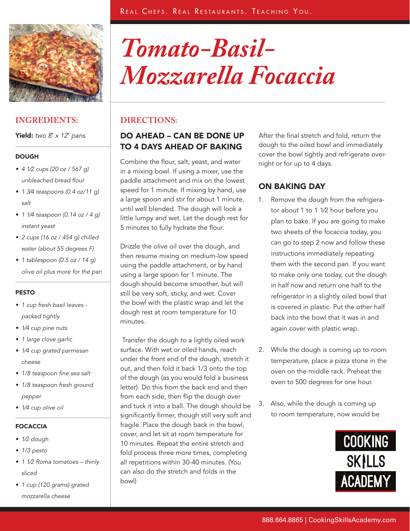

Yield: *two 8*" *x 12*" *pans*

### **DOUGH**

- • *4 1⁄2 cups (20 oz / 567 g) unbleached bread flour*
- • *1 3⁄4 teaspoons (0.4 oz/11 g) salt*
- • *1 1⁄4 teaspoon (0.14 oz / 4 g) instant yeast*
- • *2 cups (16 oz / 454 g) chilled water (about 55 degrees F)*
- • *1 tablespoon (0.5 oz / 14 g) olive oil plus more for the pan*

### PESTO

- • *1 cup fresh basil leaves packed tightly*
- • *1⁄4 cup pine nuts*
- • *1 large clove garlic*
- • *1⁄4 cup grated parmesan cheese*
- • *1/8 teaspoon fine sea salt*
- • *1/8 teaspoon fresh ground pepper*
- • *1⁄4 cup olive oil*

## FOCACCIA

- • *1⁄2 dough*
- • *1/3 pesto*
- • *1 1⁄2 Roma tomatoes thinly sliced*
- • *1 cup (120 grams) grated mozzarella cheese*

# *Tomato-Basil-Mozzarella Focaccia*

## **DIRECTIONS:**

## DO AHEAD – CAN BE DONE UP TO 4 DAYS AHEAD OF BAKING

Combine the flour, salt, yeast, and water in a mixing bowl. If using a mixer, use the paddle attachment and mix on the lowest speed for 1 minute. If mixing by hand, use a large spoon and stir for about 1 minute, until well blended. The dough will look a little lumpy and wet. Let the dough rest for 5 minutes to fully hydrate the flour.

Drizzle the olive oil over the dough, and then resume mixing on medium-low speed using the paddle attachment, or by hand using a large spoon for 1 minute. The dough should become smoother, but will still be very soft, sticky, and wet. Cover the bowl with the plastic wrap and let the dough rest at room temperature for 10 minutes.

 Transfer the dough to a lightly oiled work surface. With wet or oiled hands, reach under the front end of the dough, stretch it out, and then fold it back 1/3 onto the top of the dough (as you would fold a business letter). Do this from the back end and then from each side, then flip the dough over and tuck it into a ball. The dough should be significantly firmer, though still very soft and fragile. Place the dough back in the bowl, cover, and let sit at room temperature for 10 minutes. Repeat the entire stretch and fold process three more times, completing all repetitions within 30-40 minutes. (You can also do the stretch and folds in the bowl)

After the final stretch and fold, return the dough to the oiled bowl and immediately cover the bowl tightly and refrigerate overnight or for up to 4 days.

# ON BAKING DAY

- 1. Remove the dough from the refrigerator about 1 to 1 1⁄2 hour before you plan to bake. If you are going to make two sheets of the focaccia today, you can go to step 2 now and follow these instructions immediately repeating them with the second pan. If you want to make only one today, cut the dough in half now and return one half to the refrigerator in a slightly oiled bowl that is covered in plastic. Put the other half back into the bowl that it was in and again cover with plastic wrap.
- 2. While the dough is coming up to room temperature, place a pizza stone in the oven on the middle rack. Preheat the oven to 500 degrees for one hour.
- 3. Also, while the dough is coming up to room temperature, now would be

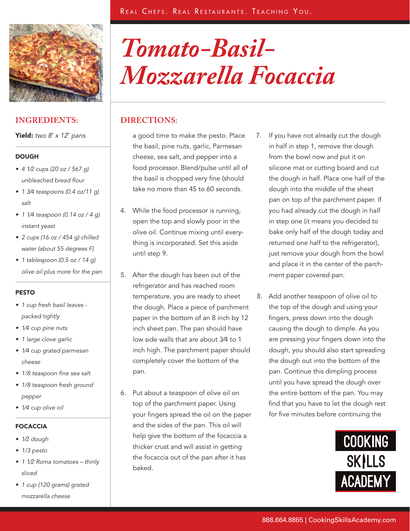

Yield: *two 8*" *x 12*" *pans*

### **DOUGH**

- • *4 1⁄2 cups (20 oz / 567 g) unbleached bread flour*
- • *1 3⁄4 teaspoons (0.4 oz/11 g) salt*
- • *1 1⁄4 teaspoon (0.14 oz / 4 g) instant yeast*
- • *2 cups (16 oz / 454 g) chilled water (about 55 degrees F)*
- • *1 tablespoon (0.5 oz / 14 g) olive oil plus more for the pan*

### PESTO

- • *1 cup fresh basil leaves packed tightly*
- • *1⁄4 cup pine nuts*
- • *1 large clove garlic*
- • *1⁄4 cup grated parmesan cheese*
- • *1/8 teaspoon fine sea salt*
- • *1/8 teaspoon fresh ground pepper*
- • *1⁄4 cup olive oil*

## FOCACCIA

- • *1⁄2 dough*
- • *1/3 pesto*
- • *1 1⁄2 Roma tomatoes thinly sliced*
- • *1 cup (120 grams) grated mozzarella cheese*

# *Tomato-Basil-Mozzarella Focaccia*

# **DIRECTIONS:**

a good time to make the pesto. Place the basil, pine nuts, garlic, Parmesan cheese, sea salt, and pepper into a food processor. Blend/pulse until all of the basil is chopped very fine (should take no more than 45 to 60 seconds.

- 4. While the food processor is running, open the top and slowly poor in the olive oil. Continue mixing until everything is incorporated. Set this aside until step 9.
- 5. After the dough has been out of the refrigerator and has reached room temperature, you are ready to sheet the dough. Place a piece of parchment paper in the bottom of an 8 inch by 12 inch sheet pan. The pan should have low side walls that are about 3⁄4 to 1 inch high. The parchment paper should completely cover the bottom of the pan.
- 6. Put about a teaspoon of olive oil on top of the parchment paper. Using your fingers spread the oil on the paper and the sides of the pan. This oil will help give the bottom of the focaccia a thicker crust and will assist in getting the focaccia out of the pan after it has baked.
- 7. If you have not already cut the dough in half in step 1, remove the dough from the bowl now and put it on silicone mat or cutting board and cut the dough in half. Place one half of the dough into the middle of the sheet pan on top of the parchment paper. If you had already cut the dough in half in step one (it means you decided to bake only half of the dough today and returned one half to the refrigerator), just remove your dough from the bowl and place it in the center of the parchment paper covered pan.
- 8. Add another teaspoon of olive oil to the top of the dough and using your fingers, press down into the dough causing the dough to dimple. As you are pressing your fingers down into the dough, you should also start spreading the dough out into the bottom of the pan. Continue this dimpling process until you have spread the dough over the entire bottom of the pan. You may find that you have to let the dough rest for five minutes before continuing the

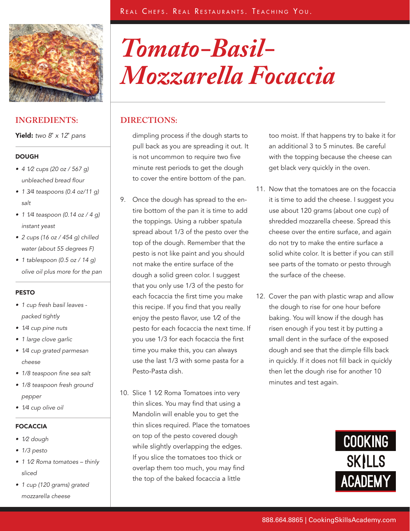

Yield: *two 8*" *x 12*" *pans*

### **DOUGH**

- • *4 1⁄2 cups (20 oz / 567 g) unbleached bread flour*
- • *1 3⁄4 teaspoons (0.4 oz/11 g) salt*
- • *1 1⁄4 teaspoon (0.14 oz / 4 g) instant yeast*
- • *2 cups (16 oz / 454 g) chilled water (about 55 degrees F)*
- • *1 tablespoon (0.5 oz / 14 g) olive oil plus more for the pan*

### PESTO

- • *1 cup fresh basil leaves packed tightly*
- • *1⁄4 cup pine nuts*
- • *1 large clove garlic*
- • *1⁄4 cup grated parmesan cheese*
- • *1/8 teaspoon fine sea salt*
- • *1/8 teaspoon fresh ground pepper*
- • *1⁄4 cup olive oil*

## FOCACCIA

- • *1⁄2 dough*
- • *1/3 pesto*
- • *1 1⁄2 Roma tomatoes thinly sliced*
- • *1 cup (120 grams) grated mozzarella cheese*

# *Tomato-Basil-Mozzarella Focaccia*

# **DIRECTIONS:**

dimpling process if the dough starts to pull back as you are spreading it out. It is not uncommon to require two five minute rest periods to get the dough to cover the entire bottom of the pan.

- 9. Once the dough has spread to the entire bottom of the pan it is time to add the toppings. Using a rubber spatula spread about 1/3 of the pesto over the top of the dough. Remember that the pesto is not like paint and you should not make the entire surface of the dough a solid green color. I suggest that you only use 1/3 of the pesto for each focaccia the first time you make this recipe. If you find that you really enjoy the pesto flavor, use 1⁄2 of the pesto for each focaccia the next time. If you use 1/3 for each focaccia the first time you make this, you can always use the last 1/3 with some pasta for a Pesto-Pasta dish.
- 10. Slice 1 1⁄2 Roma Tomatoes into very thin slices. You may find that using a Mandolin will enable you to get the thin slices required. Place the tomatoes on top of the pesto covered dough while slightly overlapping the edges. If you slice the tomatoes too thick or overlap them too much, you may find the top of the baked focaccia a little

too moist. If that happens try to bake it for an additional 3 to 5 minutes. Be careful with the topping because the cheese can get black very quickly in the oven.

- 11. Now that the tomatoes are on the focaccia it is time to add the cheese. I suggest you use about 120 grams (about one cup) of shredded mozzarella cheese. Spread this cheese over the entire surface, and again do not try to make the entire surface a solid white color. It is better if you can still see parts of the tomato or pesto through the surface of the cheese.
- 12. Cover the pan with plastic wrap and allow the dough to rise for one hour before baking. You will know if the dough has risen enough if you test it by putting a small dent in the surface of the exposed dough and see that the dimple fills back in quickly. If it does not fill back in quickly then let the dough rise for another 10 minutes and test again.